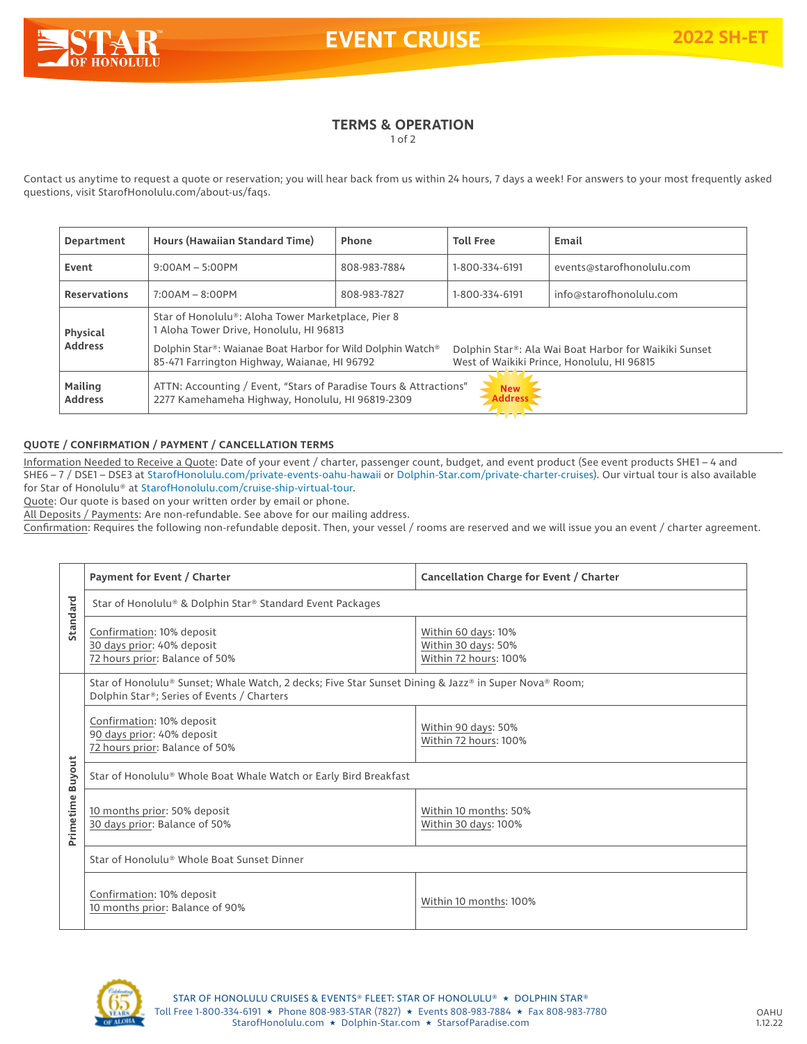

**EVENT CRUISE 2022 SH-**

# **TERMS & OPERATION**

1 of 2

Contact us anytime to request a quote or reservation; you will hear back from us within 24 hours, 7 days a week! For answers to your most frequently asked questions, visit StarofHonolulu.com/about-us/faqs.

| Department                       | Hours (Hawaiian Standard Time)                                                                                                                                                                                                                                                                                     | Phone        | <b>Toll Free</b> | Email                     |
|----------------------------------|--------------------------------------------------------------------------------------------------------------------------------------------------------------------------------------------------------------------------------------------------------------------------------------------------------------------|--------------|------------------|---------------------------|
| Event                            | $9:00AM - 5:00PM$                                                                                                                                                                                                                                                                                                  | 808-983-7884 | 1-800-334-6191   | events@starofhonolulu.com |
| <b>Reservations</b>              | $7:00AM - 8:00PM$                                                                                                                                                                                                                                                                                                  | 808-983-7827 | 1-800-334-6191   | info@starofhonolulu.com   |
| Physical<br><b>Address</b>       | Star of Honolulu®: Aloha Tower Marketplace, Pier 8<br>1 Aloha Tower Drive, Honolulu, HI 96813<br>Dolphin Star®: Waianae Boat Harbor for Wild Dolphin Watch®<br>Dolphin Star®: Ala Wai Boat Harbor for Waikiki Sunset<br>85-471 Farrington Highway, Waianae, HI 96792<br>West of Waikiki Prince, Honolulu, HI 96815 |              |                  |                           |
| <b>Mailing</b><br><b>Address</b> | ATTN: Accounting / Event, "Stars of Paradise Tours & Attractions"<br><b>New</b><br>2277 Kamehameha Highway, Honolulu, HI 96819-2309<br><b>Address</b>                                                                                                                                                              |              |                  |                           |

## **QUOTE / CONFIRMATION / PAYMENT / CANCELLATION TERMS**

Information Needed to Receive a Quote: Date of your event / charter, passenger count, budget, and event product (See event products SHE1 – 4 and SHE6 – 7 / DSE1 – DSE3 at StarofHonolulu.com/private-events-oahu-hawaii or Dolphin-Star.com/private-charter-cruises). Our virtual tour is also available for Star of Honolulu® at StarofHonolulu.com/cruise-ship-virtual-tour.

Quote: Our quote is based on your written order by email or phone.

All Deposits / Payments: Are non-refundable. See above for our mailing address.

Confirmation: Requires the following non-refundable deposit. Then, your vessel / rooms are reserved and we will issue you an event / charter agreement.

|                            | Payment for Event / Charter                                                                                                                        | Cancellation Charge for Event / Charter                             |  |  |
|----------------------------|----------------------------------------------------------------------------------------------------------------------------------------------------|---------------------------------------------------------------------|--|--|
| Standard                   | Star of Honolulu® & Dolphin Star® Standard Event Packages                                                                                          |                                                                     |  |  |
|                            | Confirmation: 10% deposit<br>30 days prior: 40% deposit<br>72 hours prior: Balance of 50%                                                          | Within 60 days: 10%<br>Within 30 days: 50%<br>Within 72 hours: 100% |  |  |
|                            | Star of Honolulu® Sunset; Whale Watch, 2 decks; Five Star Sunset Dining & Jazz® in Super Nova® Room;<br>Dolphin Star®; Series of Events / Charters |                                                                     |  |  |
| <b>Buyout</b><br>Primetime | Confirmation: 10% deposit<br>90 days prior: 40% deposit<br>72 hours prior: Balance of 50%                                                          | Within 90 days: 50%<br>Within 72 hours: 100%                        |  |  |
|                            | Star of Honolulu® Whole Boat Whale Watch or Early Bird Breakfast                                                                                   |                                                                     |  |  |
|                            | 10 months prior: 50% deposit<br>30 days prior: Balance of 50%                                                                                      | Within 10 months: 50%<br>Within 30 days: 100%                       |  |  |
|                            | Star of Honolulu® Whole Boat Sunset Dinner                                                                                                         |                                                                     |  |  |
|                            | Confirmation: 10% deposit<br>10 months prior: Balance of 90%                                                                                       | Within 10 months: 100%                                              |  |  |